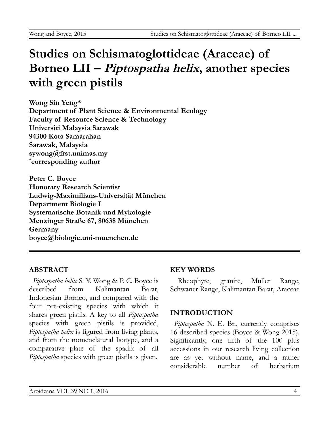# **Studies on Schismatoglottideae (Araceae) of Borneo LII – Piptospatha helix, another species with green pistils**

**Wong Sin Yeng\* Department of Plant Science & Environmental Ecology Faculty of Resource Science & Technology Universiti Malaysia Sarawak 94300 Kota Samarahan Sarawak, Malaysia sywong@frst.unimas.my \* corresponding author**

**Peter C. Boyce Honorary Research Scientist Ludwig-Maximilians-Universität München Department Biologie I Systematische Botanik und Mykologie Menzinger Straße 67, 80638 München Germany boyce@biologie.uni-muenchen.de**

# **ABSTRACT**

*Piptospatha helix* S. Y. Wong & P. C. Boyce is described from Kalimantan Barat, Indonesian Borneo, and compared with the four pre-existing species with which it shares green pistils. A key to all *Piptospatha* species with green pistils is provided, *Piptospatha helix* is figured from living plants, and from the nomenclatural Isotype, and a comparative plate of the spadix of all *Piptospatha* species with green pistils is given.

#### **KEY WORDS**

Rheophyte, granite, Muller Range, Schwaner Range, Kalimantan Barat, Araceae

# **INTRODUCTION**

*Piptospatha* N. E. Br., currently comprises 16 described species (Boyce & Wong 2015). Significantly, one fifth of the 100 plus accessions in our research living collection are as yet without name, and a rather considerable number of herbarium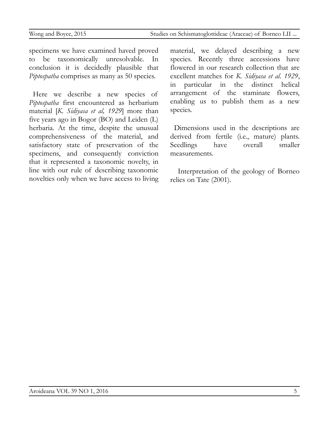specimens we have examined haved proved to be taxonomically unresolvable. In conclusion it is decidedly plausible that *Piptospatha* comprises as many as 50 species.

Here we describe a new species of *Piptospatha* first encountered as herbarium material [*K. Sidiyasa et al, 1929*] more than five years ago in Bogor (BO) and Leiden (L) herbaria. At the time, despite the unusual comprehensiveness of the material, and satisfactory state of preservation of the specimens, and consequently conviction that it represented a taxonomic novelty, in line with our rule of describing taxonomic novelties only when we have access to living material, we delayed describing a new species. Recently three accessions have flowered in our research collection that are excellent matches for *K. Sidiyasa et al. 1929*, in particular in the distinct helical arrangement of the staminate flowers, enabling us to publish them as a new species.

Dimensions used in the descriptions are derived from fertile (i.e., mature) plants. Seedlings have overall smaller measurements.

Interpretation of the geology of Borneo relies on Tate (2001).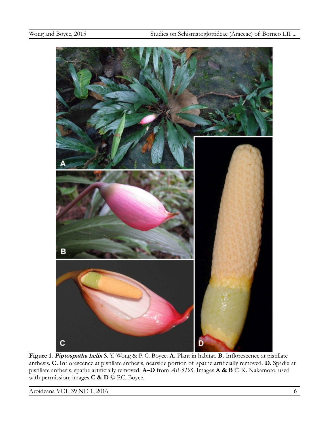

**Figure 1. Piptospatha helix** S. Y. Wong & P. C. Boyce. **A.** Plant in habitat. **B.** Inflorescence at pistillate anthesis. **C.** Inflorescence at pistillate anthesis, nearside portion of spathe artificially removed. **D.** Spadix at pistillate anthesis, spathe artificially removed. **A–D** from *AR-5196*. Images **A & B** © K. Nakamoto, used with permission; images **C & D** © P.C. Boyce.

Aroideana VOL 39 NO 1, 2016 6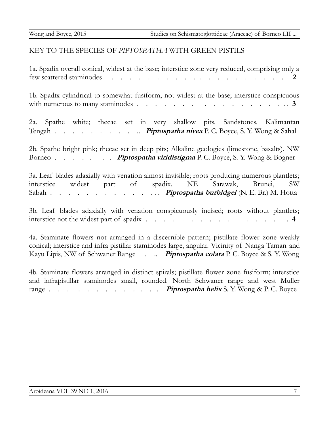#### KEY TO THE SPECIES OF *PIPTOSPATHA* WITH GREEN PISTILS

1a. Spadix overall conical, widest at the base; interstice zone very reduced, comprising only a few scattered staminodes . . . . . . . . . . . . . . . . . . . . **2**

1b. Spadix cylindrical to somewhat fusiform, not widest at the base; interstice conspicuous with numerous to many staminodes . . . . . . . . . . . . . . . . . . **3**

2a. Spathe white; thecae set in very shallow pits. Sandstones. Kalimantan Tengah . . . . . . . . . .. **Piptospatha nivea** P. C. Boyce, S. Y. Wong & Sahal

2b. Spathe bright pink; thecae set in deep pits; Alkaline geologies (limestone, basalts). NW Borneo . . . . . . **Piptospatha viridistigma** P. C. Boyce, S. Y. Wong & Bogner

3a. Leaf blades adaxially with venation almost invisible; roots producing numerous plantlets; interstice widest part of spadix. NE Sarawak, Brunei, SW Sabah . . . . . . . . . . . . **Piptospatha burbidgei** (N. E. Br.) M. Hotta

3b. Leaf blades adaxially with venation conspicuously incised; roots without plantlets; interstice not the widest part of spadix  $\ldots$  . . . . . . . . . . . . . . . . . 4

4a. Staminate flowers not arranged in a discernible pattern; pistillate flower zone weakly conical; interstice and infra pistillar staminodes large, angular. Vicinity of Nanga Taman and Kayu Lipis, NW of Schwaner Range . .. **Piptospatha colata** P. C. Boyce & S. Y. Wong

4b. Staminate flowers arranged in distinct spirals; pistillate flower zone fusiform; interstice and infrapistillar staminodes small, rounded. North Schwaner range and west Muller range . . . . . . . . . . . **Piptospatha helix** S. Y. Wong & P. C. Boyce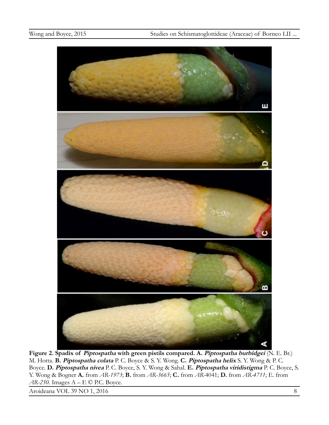

**Figure 2. Spadix of Piptospatha with green pistils compared. A. Piptospatha burbidgei** (N. E. Br.) M. Hotta. **B. Piptospatha colata** P. C. Boyce & S. Y. Wong. **C. Piptospatha helix** S. Y. Wong & P. C. Boyce. **D. Piptospatha nivea** P. C. Boyce, S. Y. Wong & Sahal. **E. Piptospatha viridistigma** P. C. Boyce, S. Y. Wong & Bogner **A.** from *AR-1973*; **B.** from *AR-3665*; **C.** from *AR-*4041; **D.** from *AR-4711*; E. from *AR-250.* Images A – E © P.C. Boyce.

Aroideana VOL 39 NO 1, 2016 8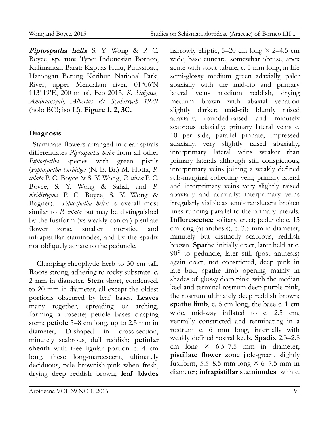**Piptospatha helix** S. Y. Wong & P. C. Boyce, **sp. nov**. Type: Indonesian Borneo, Kalimantan Barat: Kapuas Hulu, Putissibau, Harongan Betung Kerihun National Park, River, upper Mendalam river, 01°06'N 113°19'E, 200 m asl, Feb 2015, *K. Sidiyasa, Ambriansyah, Albertus & Syahirsyah 1929* (holo BO!; iso L!). **Figure 1, 2, 3C.**

# **Diagnosis**

Staminate flowers arranged in clear spirals differentiates *Piptospatha helix* from all other *Piptospatha* species with green pistils (*Piptospatha burbidgei* (N. E. Br.) M. Hotta, *P. colata* P. C. Boyce & S. Y. Wong, *P. nivea* P. C. Boyce, S. Y. Wong & Sahal, and *P. viridistigma* P. C. Boyce, S. Y. Wong & Bogner). *Piptospatha helix* is overall most similar to *P. colata* but may be distinguished by the fusiform (vs weakly conical) pistillate flower zone, smaller interstice and infrapistillar staminodes, and by the spadix not obliquely adnate to the peduncle.

Clumping rheophytic herb to 30 cm tall. **Roots** strong, adhering to rocky substrate. c. 2 mm in diameter. **Stem** short, condensed, to 20 mm in diameter, all except the oldest portions obscured by leaf bases. **Leaves** many together, spreading or arching, forming a rosette; petiole bases clasping stem; **petiole** 5–8 cm long, up to 2.5 mm in diameter, D-shaped in cross-section, minutely scabrous, dull reddish; **petiolar sheath** with free ligular portion c. 4 cm long, these long-marcescent, ultimately deciduous, pale brownish-pink when fresh, drying deep reddish brown; **leaf blades**

narrowly elliptic, 5–20 cm long  $\times$  2–4.5 cm wide, base cuneate, somewhat obtuse, apex acute with stout tubule, c. 5 mm long, in life semi-glossy medium green adaxially, paler abaxially with the mid-rib and primary lateral veins medium reddish, drying medium brown with abaxial venation slightly darker; **mid-rib** bluntly raised adaxially, rounded-raised and minutely scabrous adaxially; primary lateral veins c. 10 per side, parallel pinnate, impressed adaxially, very slightly raised abaxially; interprimary lateral veins weaker than primary laterals although still conspicuous, interprimary veins joining a weakly defined sub-marginal collecting vein; primary lateral and interprimary veins very slightly raised abaxially and adaxially; interprimary veins irregularly visible as semi-translucent broken lines running parallel to the primary laterals. **Inflorescence** solitary, erect; peduncle c. 15 cm long (at anthesis), c. 3.5 mm in diameter, minutely but distinctly scabrous, reddish brown. **Spathe** initially erect, later held at c. 90° to peduncle, later still (post anthesis) again erect, not constricted, deep pink in late bud, spathe limb opening mainly in shades of glossy deep pink, with the median keel and terminal rostrum deep purple-pink, the rostrum ultimately deep reddish brown; **spathe limb**, c. 6 cm long, the base c. 1 cm wide, mid-way inflated to c. 2.5 cm, ventrally constricted and terminating in a rostrum c. 6 mm long, internally with weakly defined rostral keels. **Spadix** 2.3–2.8 cm long  $\times$  6.5–7.5 mm in diameter; **pistillate flower zone** jade-green, slightly fusiform, 5.5–8.5 mm long  $\times$  6–7.5 mm in diameter; **infrapistillar staminodes** with c.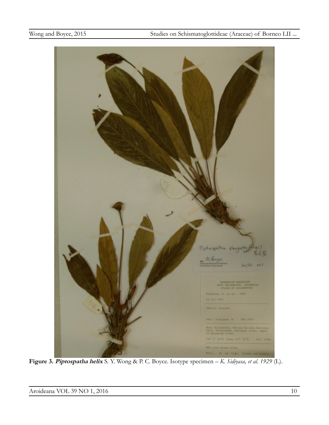

**Figure 3. Piptospatha helix** S. Y. Wong & P. C. Boyce. Isotype specimen – *K. Sidiyasa, et al. 1929* (L).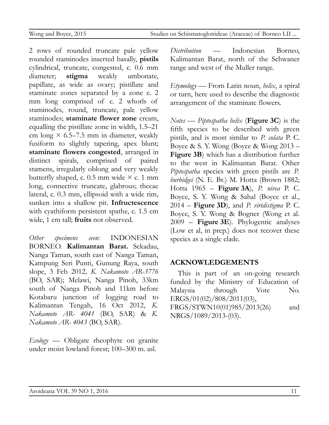2 rows of rounded truncate pale yellow rounded staminodes inserted basally, **pistils** cylindrical, truncate, congested, c. 0.6 mm diameter; **stigma** weakly umbonate, papillate, as wide as ovary; pistillate and staminate zones separated by a zone c. 2 mm long comprised of c. 2 whorls of staminodes, round, truncate, pale yellow staminodes; **staminate flower zone** cream, equalling the pistillate zone in width, 1.5–21 cm long  $\times$  6.5–7.5 mm in diameter, weakly fusiform to slightly tapering, apex blunt; **staminate flowers congested**, arranged in distinct spirals, comprised of paired stamens, irregularly oblong and very weakly butterfly shaped, c. 0.5 mm wide  $\times$  c. 1 mm long, connective truncate, glabrous; thecae lateral, c. 0.3 mm, ellipsoid with a wide rim, sunken into a shallow pit. **Infructescence** with cyathiform persistent spathe, c. 1.5 cm wide, 1 cm tall; **fruits** not observed.

*Other specimens seen:* INDONESIAN BORNEO. **Kalimantan Barat.** Sekadau, Nanga Taman, south east of Nanga Taman, Kampung Seri Punti, Gunung Raya, south slope, 3 Feb 2012*, K. Nakamoto AR-3776* (BO, SAR); Melawi, Nanga Pinoh, 33km south of Nanga Pinoh and 11km before Kotabaru junction of logging road to Kalimantan Tengah, 16 Oct 2012, *K. Nakamoto AR- 4041* (BO, SAR) & *K. Nakamoto AR- 4043* (BO, SAR).

*Ecology* — Obligate rheophyte on granite under moist lowland forest; 100–300 m. asl.

*Distribution* — Indonesian Borneo, Kalimantan Barat, north of the Schwaner range and west of the Muller range.

*Etymology* — From Latin noun, *helix*, a spiral or turn, here used to describe the diagnostic arrangement of the staminate flowers.

*Notes* — *Piptospatha helix* (**Figure 3C**) is the fifth species to be described with green pistils, and is most similar to *P. colata* P. C. Boyce & S. Y. Wong (Boyce & Wong 2013 – **Figure 3B**) which has a distribution further to the west in Kalimantan Barat. Other *Piptospatha* species with green pistils are *P. burbidgei* (N. E. Br.) M. Hotta (Brown 1882; Hotta 1965 – **Figure 3A**), *P. nivea* P. C. Boyce, S. Y. Wong & Sahal (Boyce et al., 2014 – **Figure 3D**), and *P. viridistigma* P. C. Boyce, S. Y. Wong & Bogner (Wong et al. 2009 – **Figure 3E**). Phylogentic analyses (Low et al, in prep.) does not recover these species as a single clade.

# **ACKNOWLEDGEMENTS**

This is part of an on-going research funded by the Ministry of Education of Malaysia through Vote No. ERGS/01(02)/808/2011(03),

FRGS/STWN10(01)985/2013(26) and NRGS/1089/2013-(03).